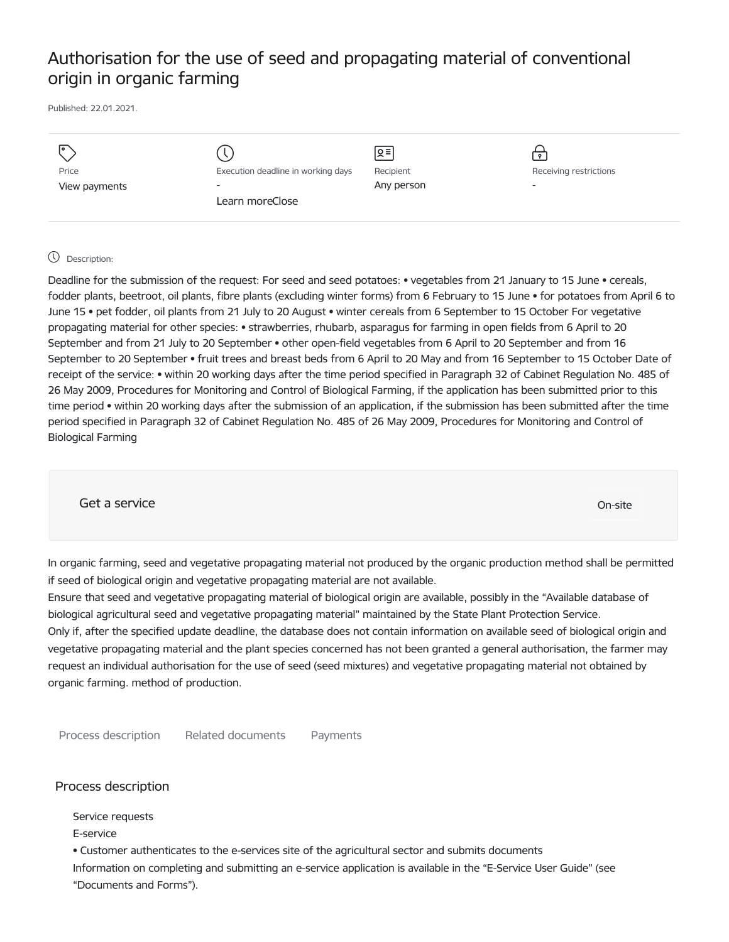# Authorisation for the use of seed and propagating material of conventional origin in organic farming

Published: 22.01.2021.

| I۰            |                                    | Զ≡         | $\mathbf{P}$             |
|---------------|------------------------------------|------------|--------------------------|
| Price         | Execution deadline in working days | Recipient  | Receiving restrictions   |
| View payments | $\overline{\phantom{0}}$           | Any person | $\overline{\phantom{a}}$ |
|               | Learn moreClose                    |            |                          |
|               |                                    |            |                          |

# Description:

Deadline for the submission of the request: For seed and seed potatoes: • vegetables from 21 January to 15 June • cereals, fodder plants, beetroot, oil plants, fibre plants (excluding winter forms) from 6 February to 15 June • for potatoes from April 6 to June 15 • pet fodder, oil plants from 21 July to 20 August • winter cereals from 6 September to 15 October For vegetative propagating material for other species: • strawberries, rhubarb, asparagus for farming in open fields from 6 April to 20 September and from 21 July to 20 September • other open-field vegetables from 6 April to 20 September and from 16 September to 20 September • fruit trees and breast beds from 6 April to 20 May and from 16 September to 15 October Date of receipt of the service: • within 20 working days after the time period specified in Paragraph 32 of Cabinet Regulation No. 485 of 26 May 2009, Procedures for Monitoring and Control of Biological Farming, if the application has been submitted prior to this time period • within 20 working days after the submission of an application, if the submission has been submitted after the time period specified in Paragraph 32 of Cabinet Regulation No. 485 of 26 May 2009, Procedures for Monitoring and Control of Biological Farming

Get a service only a service of the contract of the contract of the contract of the contract of the contract of the contract of the contract of the contract of the contract of the contract of the contract of the contract o

In organic farming, seed and vegetative propagating material not produced by the organic production method shall be permitted if seed of biological origin and vegetative propagating material are not available.

Ensure that seed and vegetative propagating material of biological origin are available, possibly in the "Available database of biological agricultural seed and vegetative propagating material" maintained by the State Plant Protection Service. Only if, after the specified update deadline, the database does not contain information on available seed of biological origin and vegetative propagating material and the plant species concerned has not been granted a general authorisation, the farmer may request an individual authorisation for the use of seed (seed mixtures) and vegetative propagating material not obtained by organic farming. method of production.

Process description Related documents Payments

# Process description

Service requests

E-service

• Customer authenticates to the e-services site of the agricultural sector and submits documents Information on completing and submitting an e-service application is available in the "E-Service User Guide" (see "Documents and Forms").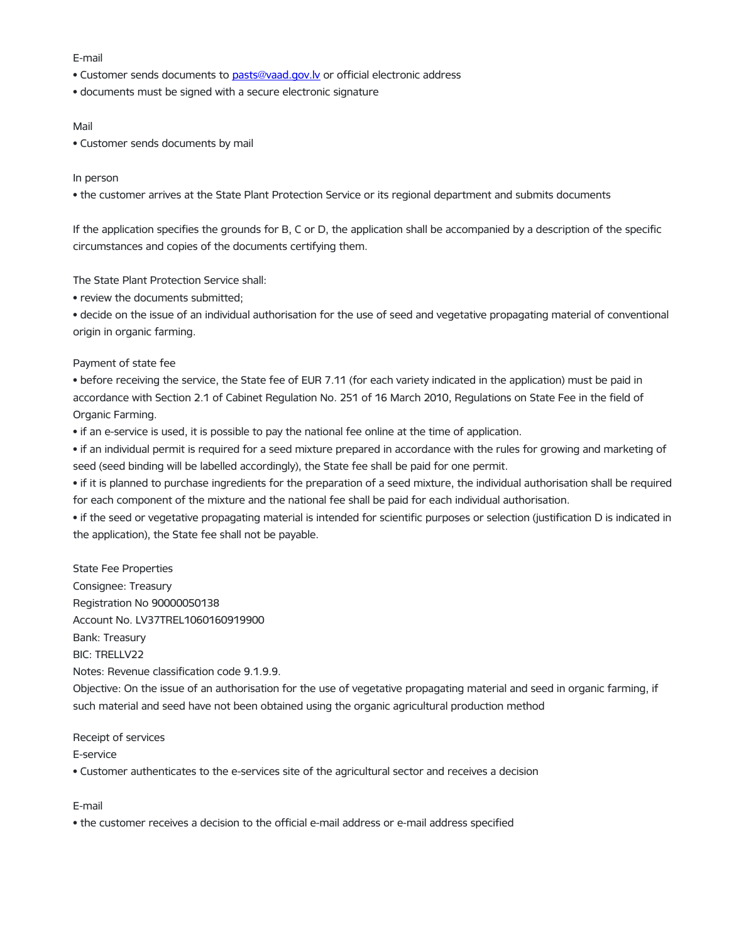#### E-mail

- Customer sends documents to [pasts@vaad.gov.lv](mailto:pasts@vaad.gov.lv) or official electronic address
- documents must be signed with a secure electronic signature

## Mail

• Customer sends documents by mail

## In person

• the customer arrives at the State Plant Protection Service or its regional department and submits documents

If the application specifies the grounds for B, C or D, the application shall be accompanied by a description of the specific circumstances and copies of the documents certifying them.

The State Plant Protection Service shall:

• review the documents submitted;

• decide on the issue of an individual authorisation for the use of seed and vegetative propagating material of conventional origin in organic farming.

# Payment of state fee

• before receiving the service, the State fee of EUR 7.11 (for each variety indicated in the application) must be paid in accordance with Section 2.1 of Cabinet Regulation No. 251 of 16 March 2010, Regulations on State Fee in the field of Organic Farming.

• if an e-service is used, it is possible to pay the national fee online at the time of application.

• if an individual permit is required for a seed mixture prepared in accordance with the rules for growing and marketing of seed (seed binding will be labelled accordingly), the State fee shall be paid for one permit.

• if it is planned to purchase ingredients for the preparation of a seed mixture, the individual authorisation shall be required for each component of the mixture and the national fee shall be paid for each individual authorisation.

• if the seed or vegetative propagating material is intended for scientific purposes or selection (justification D is indicated in the application), the State fee shall not be payable.

State Fee Properties Consignee: Treasury Registration No 90000050138 Account No. LV37TREL1060160919900 Bank: Treasury BIC: TRELLV22 Notes: Revenue classification code 9.1.9.9.

Objective: On the issue of an authorisation for the use of vegetative propagating material and seed in organic farming, if such material and seed have not been obtained using the organic agricultural production method

# Receipt of services

# E-service

• Customer authenticates to the e-services site of the agricultural sector and receives a decision

#### E-mail

• the customer receives a decision to the official e-mail address or e-mail address specified